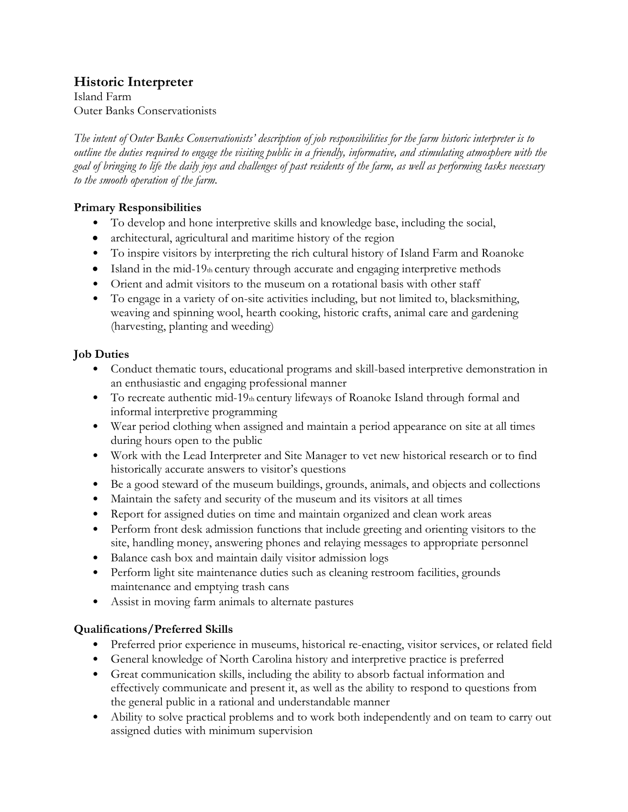## **Historic Interpreter**

Island Farm Outer Banks Conservationists

*The intent of Outer Banks Conservationists' description of job responsibilities for the farm historic interpreter is to outline the duties required to engage the visiting public in a friendly, informative, and stimulating atmosphere with the goal of bringing to life the daily joys and challenges of past residents of the farm, as well as performing tasks necessary to the smooth operation of the farm.*

### **Primary Responsibilities**

- To develop and hone interpretive skills and knowledge base, including the social,
- architectural, agricultural and maritime history of the region
- To inspire visitors by interpreting the rich cultural history of Island Farm and Roanoke
- Island in the mid-19th century through accurate and engaging interpretive methods
- Orient and admit visitors to the museum on a rotational basis with other staff
- To engage in a variety of on-site activities including, but not limited to, blacksmithing, weaving and spinning wool, hearth cooking, historic crafts, animal care and gardening (harvesting, planting and weeding)

## **Job Duties**

- Conduct thematic tours, educational programs and skill-based interpretive demonstration in an enthusiastic and engaging professional manner
- To recreate authentic mid-19 $<sub>th</sub>$  century lifeways of Roanoke Island through formal and</sub> informal interpretive programming
- Wear period clothing when assigned and maintain a period appearance on site at all times during hours open to the public
- Work with the Lead Interpreter and Site Manager to vet new historical research or to find historically accurate answers to visitor's questions
- Be a good steward of the museum buildings, grounds, animals, and objects and collections
- Maintain the safety and security of the museum and its visitors at all times
- Report for assigned duties on time and maintain organized and clean work areas
- Perform front desk admission functions that include greeting and orienting visitors to the site, handling money, answering phones and relaying messages to appropriate personnel
- Balance cash box and maintain daily visitor admission logs
- Perform light site maintenance duties such as cleaning restroom facilities, grounds maintenance and emptying trash cans
- Assist in moving farm animals to alternate pastures

## **Qualifications/Preferred Skills**

- Preferred prior experience in museums, historical re-enacting, visitor services, or related field
- General knowledge of North Carolina history and interpretive practice is preferred
- Great communication skills, including the ability to absorb factual information and effectively communicate and present it, as well as the ability to respond to questions from the general public in a rational and understandable manner
- Ability to solve practical problems and to work both independently and on team to carry out assigned duties with minimum supervision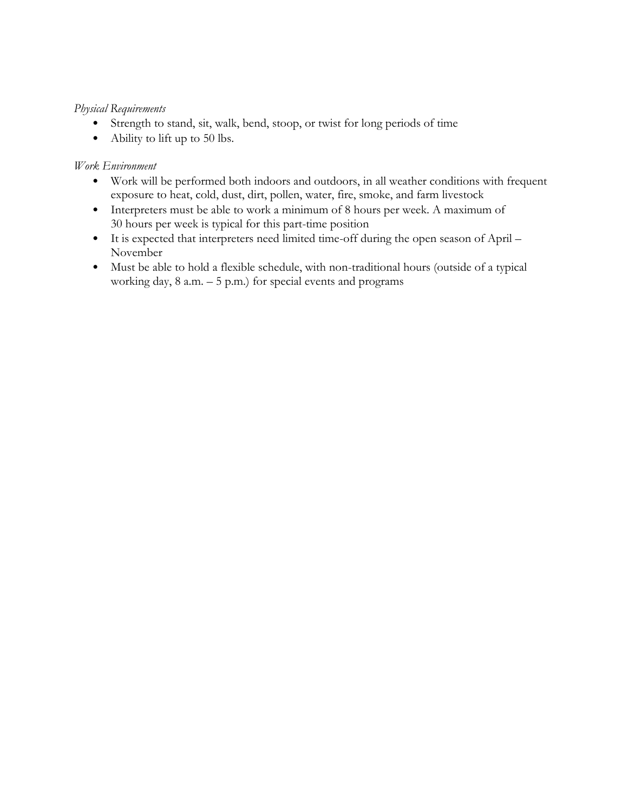#### *Physical Requirements*

- Strength to stand, sit, walk, bend, stoop, or twist for long periods of time
- Ability to lift up to 50 lbs.

#### *Work Environment*

- Work will be performed both indoors and outdoors, in all weather conditions with frequent exposure to heat, cold, dust, dirt, pollen, water, fire, smoke, and farm livestock
- Interpreters must be able to work a minimum of 8 hours per week. A maximum of 30 hours per week is typical for this part-time position
- It is expected that interpreters need limited time-off during the open season of April November
- Must be able to hold a flexible schedule, with non-traditional hours (outside of a typical working day,  $8$  a.m.  $-5$  p.m.) for special events and programs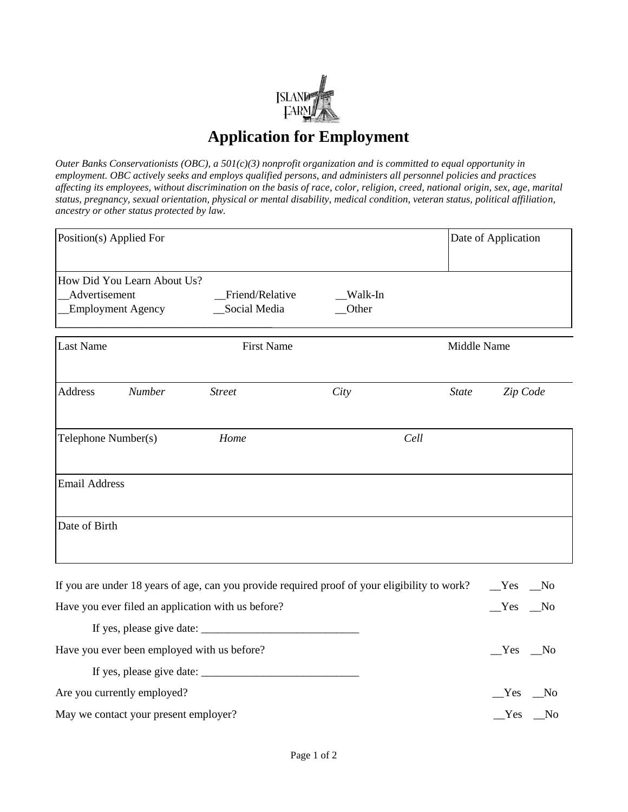

# **Application for Employment**

*Outer Banks Conservationists (OBC), a 501(c)(3) nonprofit organization and is committed to equal opportunity in employment. OBC actively seeks and employs qualified persons, and administers all personnel policies and practices affecting its employees, without discrimination on the basis of race, color, religion, creed, national origin, sex, age, marital status, pregnancy, sexual orientation, physical or mental disability, medical condition, veteran status, political affiliation, ancestry or other status protected by law.*

| Position(s) Applied For                                                                       |                   |         | Date of Application |                       |
|-----------------------------------------------------------------------------------------------|-------------------|---------|---------------------|-----------------------|
| How Did You Learn About Us?                                                                   |                   |         |                     |                       |
| Advertisement                                                                                 | Friend/Relative   | Walk-In |                     |                       |
| <b>Employment Agency</b>                                                                      | Social Media      | Other   |                     |                       |
| <b>Last Name</b>                                                                              | <b>First Name</b> |         | Middle Name         |                       |
| Address<br><b>Number</b>                                                                      | <b>Street</b>     | City    | <b>State</b>        | Zip Code              |
| Telephone Number(s)                                                                           | Home              | Cell    |                     |                       |
| <b>Email Address</b>                                                                          |                   |         |                     |                       |
| Date of Birth                                                                                 |                   |         |                     |                       |
| If you are under 18 years of age, can you provide required proof of your eligibility to work? |                   |         |                     | Yes<br>$\sqrt{N}$     |
| Have you ever filed an application with us before?                                            |                   |         |                     | Yes<br>N <sub>0</sub> |
| If $\cos \theta$ places give data.                                                            |                   |         |                     |                       |

| If yes, please give date:                   |          |
|---------------------------------------------|----------|
| Have you ever been employed with us before? | $Yes$ No |
|                                             |          |
| Are you currently employed?                 | $Yes$ No |
| May we contact your present employer?       | $Yes$ No |